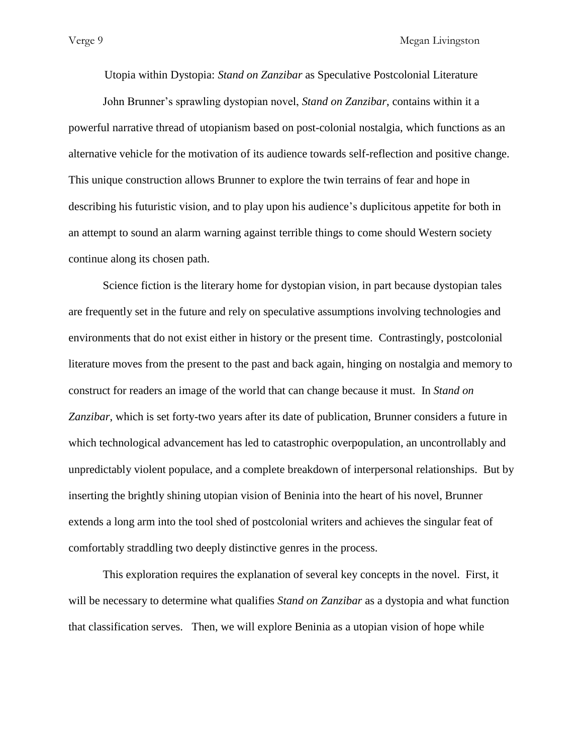Utopia within Dystopia: *Stand on Zanzibar* as Speculative Postcolonial Literature

John Brunner's sprawling dystopian novel, *Stand on Zanzibar*, contains within it a powerful narrative thread of utopianism based on post-colonial nostalgia, which functions as an alternative vehicle for the motivation of its audience towards self-reflection and positive change. This unique construction allows Brunner to explore the twin terrains of fear and hope in describing his futuristic vision, and to play upon his audience's duplicitous appetite for both in an attempt to sound an alarm warning against terrible things to come should Western society continue along its chosen path.

Science fiction is the literary home for dystopian vision, in part because dystopian tales are frequently set in the future and rely on speculative assumptions involving technologies and environments that do not exist either in history or the present time. Contrastingly, postcolonial literature moves from the present to the past and back again, hinging on nostalgia and memory to construct for readers an image of the world that can change because it must. In *Stand on Zanzibar*, which is set forty-two years after its date of publication, Brunner considers a future in which technological advancement has led to catastrophic overpopulation, an uncontrollably and unpredictably violent populace, and a complete breakdown of interpersonal relationships. But by inserting the brightly shining utopian vision of Beninia into the heart of his novel, Brunner extends a long arm into the tool shed of postcolonial writers and achieves the singular feat of comfortably straddling two deeply distinctive genres in the process.

This exploration requires the explanation of several key concepts in the novel. First, it will be necessary to determine what qualifies *Stand on Zanzibar* as a dystopia and what function that classification serves. Then, we will explore Beninia as a utopian vision of hope while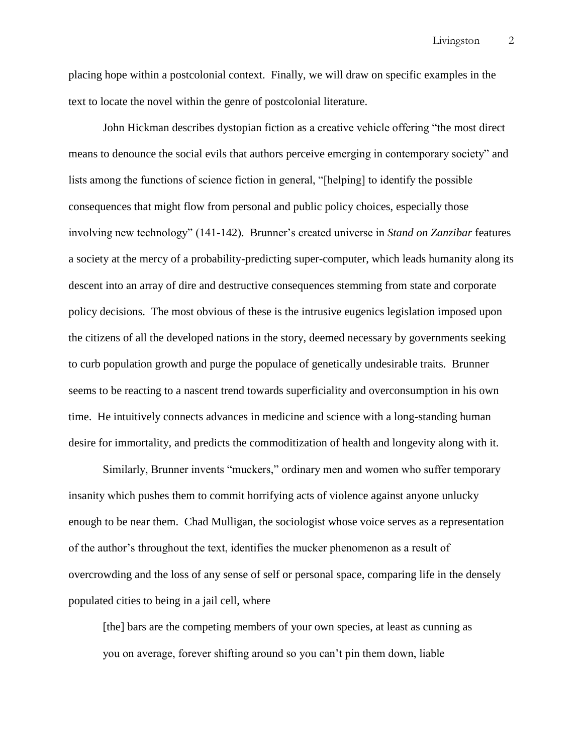Livingston 2

placing hope within a postcolonial context. Finally, we will draw on specific examples in the text to locate the novel within the genre of postcolonial literature.

John Hickman describes dystopian fiction as a creative vehicle offering "the most direct means to denounce the social evils that authors perceive emerging in contemporary society" and lists among the functions of science fiction in general, "[helping] to identify the possible consequences that might flow from personal and public policy choices, especially those involving new technology" (141-142). Brunner's created universe in *Stand on Zanzibar* features a society at the mercy of a probability-predicting super-computer, which leads humanity along its descent into an array of dire and destructive consequences stemming from state and corporate policy decisions. The most obvious of these is the intrusive eugenics legislation imposed upon the citizens of all the developed nations in the story, deemed necessary by governments seeking to curb population growth and purge the populace of genetically undesirable traits. Brunner seems to be reacting to a nascent trend towards superficiality and overconsumption in his own time. He intuitively connects advances in medicine and science with a long-standing human desire for immortality, and predicts the commoditization of health and longevity along with it.

Similarly, Brunner invents "muckers," ordinary men and women who suffer temporary insanity which pushes them to commit horrifying acts of violence against anyone unlucky enough to be near them. Chad Mulligan, the sociologist whose voice serves as a representation of the author's throughout the text, identifies the mucker phenomenon as a result of overcrowding and the loss of any sense of self or personal space, comparing life in the densely populated cities to being in a jail cell, where

[the] bars are the competing members of your own species, at least as cunning as you on average, forever shifting around so you can't pin them down, liable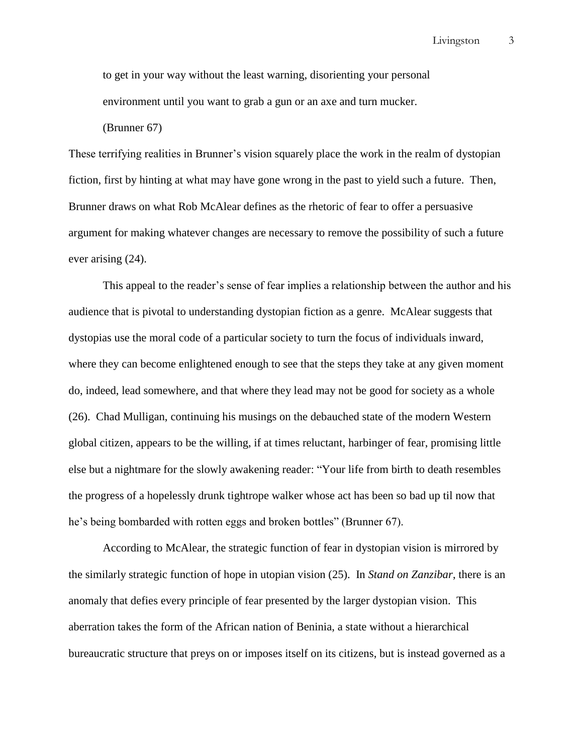to get in your way without the least warning, disorienting your personal environment until you want to grab a gun or an axe and turn mucker.

(Brunner 67)

These terrifying realities in Brunner's vision squarely place the work in the realm of dystopian fiction, first by hinting at what may have gone wrong in the past to yield such a future. Then, Brunner draws on what Rob McAlear defines as the rhetoric of fear to offer a persuasive argument for making whatever changes are necessary to remove the possibility of such a future ever arising (24).

This appeal to the reader's sense of fear implies a relationship between the author and his audience that is pivotal to understanding dystopian fiction as a genre. McAlear suggests that dystopias use the moral code of a particular society to turn the focus of individuals inward, where they can become enlightened enough to see that the steps they take at any given moment do, indeed, lead somewhere, and that where they lead may not be good for society as a whole (26). Chad Mulligan, continuing his musings on the debauched state of the modern Western global citizen, appears to be the willing, if at times reluctant, harbinger of fear, promising little else but a nightmare for the slowly awakening reader: "Your life from birth to death resembles the progress of a hopelessly drunk tightrope walker whose act has been so bad up til now that he's being bombarded with rotten eggs and broken bottles" (Brunner 67).

According to McAlear, the strategic function of fear in dystopian vision is mirrored by the similarly strategic function of hope in utopian vision (25). In *Stand on Zanzibar*, there is an anomaly that defies every principle of fear presented by the larger dystopian vision. This aberration takes the form of the African nation of Beninia, a state without a hierarchical bureaucratic structure that preys on or imposes itself on its citizens, but is instead governed as a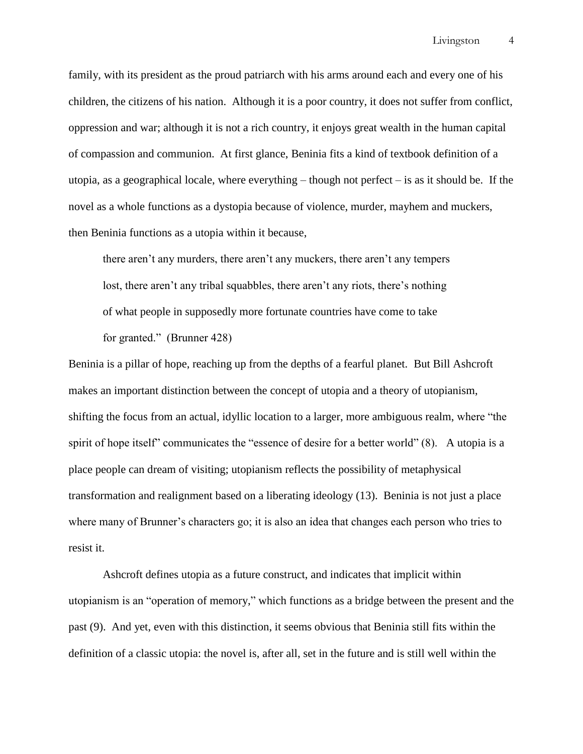family, with its president as the proud patriarch with his arms around each and every one of his children, the citizens of his nation. Although it is a poor country, it does not suffer from conflict, oppression and war; although it is not a rich country, it enjoys great wealth in the human capital of compassion and communion. At first glance, Beninia fits a kind of textbook definition of a utopia, as a geographical locale, where everything  $-$  though not perfect  $-$  is as it should be. If the novel as a whole functions as a dystopia because of violence, murder, mayhem and muckers, then Beninia functions as a utopia within it because,

there aren't any murders, there aren't any muckers, there aren't any tempers lost, there aren't any tribal squabbles, there aren't any riots, there's nothing of what people in supposedly more fortunate countries have come to take for granted." (Brunner 428)

Beninia is a pillar of hope, reaching up from the depths of a fearful planet. But Bill Ashcroft makes an important distinction between the concept of utopia and a theory of utopianism, shifting the focus from an actual, idyllic location to a larger, more ambiguous realm, where "the spirit of hope itself" communicates the "essence of desire for a better world" (8). A utopia is a place people can dream of visiting; utopianism reflects the possibility of metaphysical transformation and realignment based on a liberating ideology (13). Beninia is not just a place where many of Brunner's characters go; it is also an idea that changes each person who tries to resist it.

Ashcroft defines utopia as a future construct, and indicates that implicit within utopianism is an "operation of memory," which functions as a bridge between the present and the past (9). And yet, even with this distinction, it seems obvious that Beninia still fits within the definition of a classic utopia: the novel is, after all, set in the future and is still well within the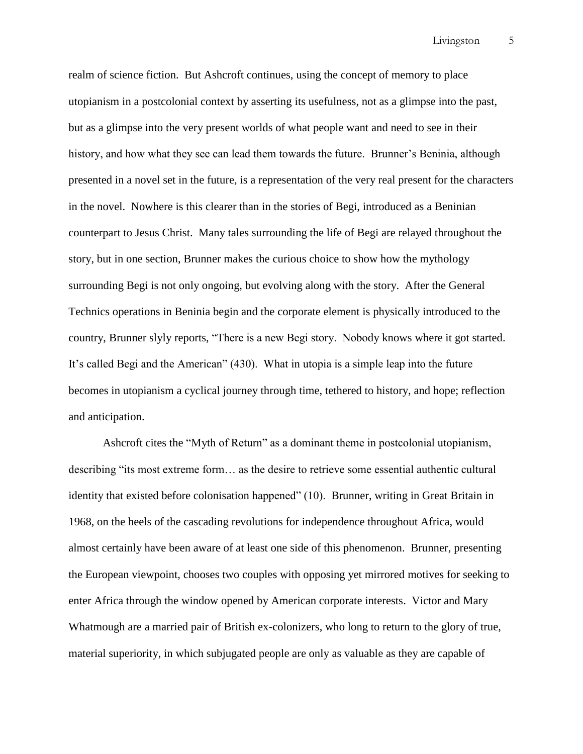Livingston 5

realm of science fiction. But Ashcroft continues, using the concept of memory to place utopianism in a postcolonial context by asserting its usefulness, not as a glimpse into the past, but as a glimpse into the very present worlds of what people want and need to see in their history, and how what they see can lead them towards the future. Brunner's Beninia, although presented in a novel set in the future, is a representation of the very real present for the characters in the novel. Nowhere is this clearer than in the stories of Begi, introduced as a Beninian counterpart to Jesus Christ. Many tales surrounding the life of Begi are relayed throughout the story, but in one section, Brunner makes the curious choice to show how the mythology surrounding Begi is not only ongoing, but evolving along with the story. After the General Technics operations in Beninia begin and the corporate element is physically introduced to the country, Brunner slyly reports, "There is a new Begi story. Nobody knows where it got started. It's called Begi and the American" (430). What in utopia is a simple leap into the future becomes in utopianism a cyclical journey through time, tethered to history, and hope; reflection and anticipation.

Ashcroft cites the "Myth of Return" as a dominant theme in postcolonial utopianism, describing "its most extreme form... as the desire to retrieve some essential authentic cultural identity that existed before colonisation happened" (10). Brunner, writing in Great Britain in 1968, on the heels of the cascading revolutions for independence throughout Africa, would almost certainly have been aware of at least one side of this phenomenon. Brunner, presenting the European viewpoint, chooses two couples with opposing yet mirrored motives for seeking to enter Africa through the window opened by American corporate interests. Victor and Mary Whatmough are a married pair of British ex-colonizers, who long to return to the glory of true, material superiority, in which subjugated people are only as valuable as they are capable of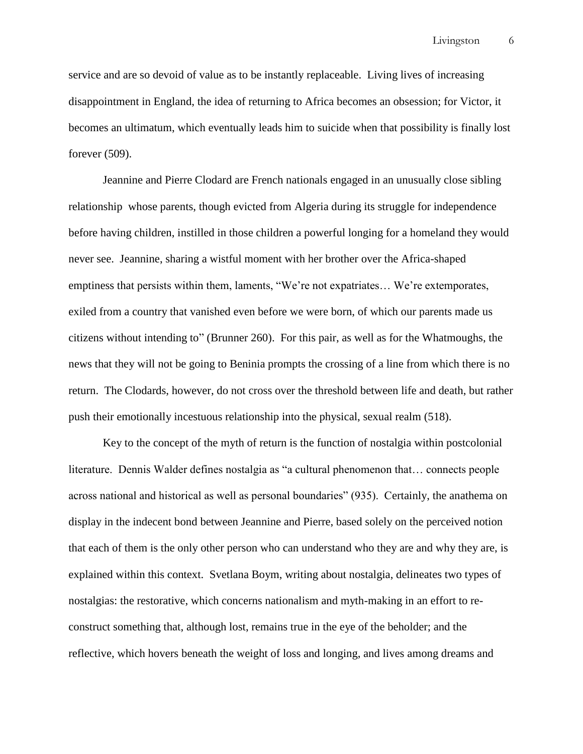service and are so devoid of value as to be instantly replaceable. Living lives of increasing disappointment in England, the idea of returning to Africa becomes an obsession; for Victor, it becomes an ultimatum, which eventually leads him to suicide when that possibility is finally lost forever (509).

Jeannine and Pierre Clodard are French nationals engaged in an unusually close sibling relationship whose parents, though evicted from Algeria during its struggle for independence before having children, instilled in those children a powerful longing for a homeland they would never see. Jeannine, sharing a wistful moment with her brother over the Africa-shaped emptiness that persists within them, laments, "We're not expatriates... We're extemporates, exiled from a country that vanished even before we were born, of which our parents made us citizens without intending to" (Brunner 260). For this pair, as well as for the Whatmoughs, the news that they will not be going to Beninia prompts the crossing of a line from which there is no return. The Clodards, however, do not cross over the threshold between life and death, but rather push their emotionally incestuous relationship into the physical, sexual realm (518).

Key to the concept of the myth of return is the function of nostalgia within postcolonial literature. Dennis Walder defines nostalgia as "a cultural phenomenon that... connects people across national and historical as well as personal boundaries" (935). Certainly, the anathema on display in the indecent bond between Jeannine and Pierre, based solely on the perceived notion that each of them is the only other person who can understand who they are and why they are, is explained within this context. Svetlana Boym, writing about nostalgia, delineates two types of nostalgias: the restorative, which concerns nationalism and myth-making in an effort to reconstruct something that, although lost, remains true in the eye of the beholder; and the reflective, which hovers beneath the weight of loss and longing, and lives among dreams and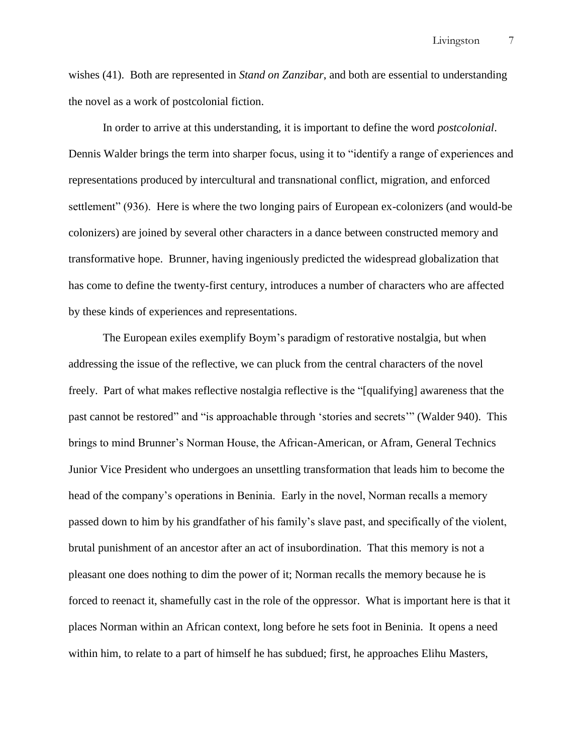Livingston 7

wishes (41). Both are represented in *Stand on Zanzibar*, and both are essential to understanding the novel as a work of postcolonial fiction.

In order to arrive at this understanding, it is important to define the word *postcolonial*. Dennis Walder brings the term into sharper focus, using it to "identify a range of experiences and representations produced by intercultural and transnational conflict, migration, and enforced settlement" (936). Here is where the two longing pairs of European ex-colonizers (and would-be colonizers) are joined by several other characters in a dance between constructed memory and transformative hope. Brunner, having ingeniously predicted the widespread globalization that has come to define the twenty-first century, introduces a number of characters who are affected by these kinds of experiences and representations.

The European exiles exemplify Boym's paradigm of restorative nostalgia, but when addressing the issue of the reflective, we can pluck from the central characters of the novel freely. Part of what makes reflective nostalgia reflective is the "[qualifying] awareness that the past cannot be restored" and "is approachable through 'stories and secrets'" (Walder 940). This brings to mind Brunner's Norman House, the African-American, or Afram, General Technics Junior Vice President who undergoes an unsettling transformation that leads him to become the head of the company's operations in Beninia. Early in the novel, Norman recalls a memory passed down to him by his grandfather of his family's slave past, and specifically of the violent, brutal punishment of an ancestor after an act of insubordination. That this memory is not a pleasant one does nothing to dim the power of it; Norman recalls the memory because he is forced to reenact it, shamefully cast in the role of the oppressor. What is important here is that it places Norman within an African context, long before he sets foot in Beninia. It opens a need within him, to relate to a part of himself he has subdued; first, he approaches Elihu Masters,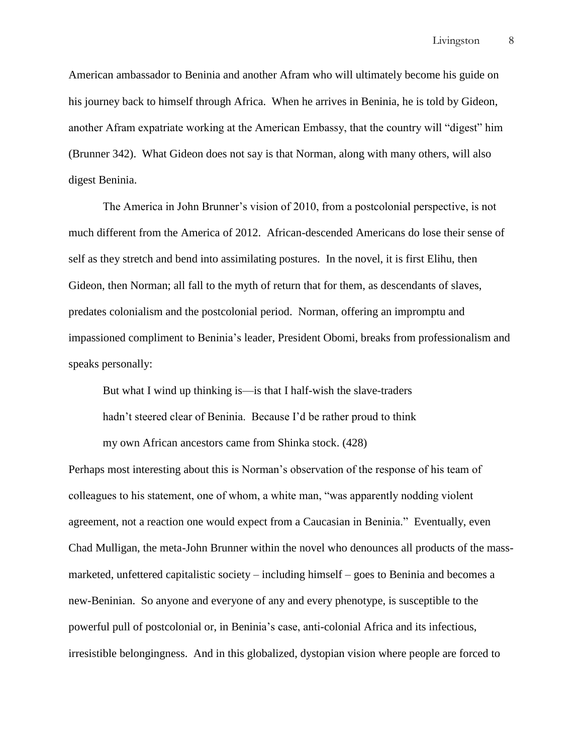American ambassador to Beninia and another Afram who will ultimately become his guide on his journey back to himself through Africa. When he arrives in Beninia, he is told by Gideon, another Afram expatriate working at the American Embassy, that the country will "digest" him (Brunner 342). What Gideon does not say is that Norman, along with many others, will also digest Beninia.

The America in John Brunner's vision of 2010, from a postcolonial perspective, is not much different from the America of 2012. African-descended Americans do lose their sense of self as they stretch and bend into assimilating postures. In the novel, it is first Elihu, then Gideon, then Norman; all fall to the myth of return that for them, as descendants of slaves, predates colonialism and the postcolonial period. Norman, offering an impromptu and impassioned compliment to Beninia's leader, President Obomi, breaks from professionalism and speaks personally:

But what I wind up thinking is—is that I half-wish the slave-traders

hadn't steered clear of Beninia. Because I'd be rather proud to think

my own African ancestors came from Shinka stock. (428)

Perhaps most interesting about this is Norman's observation of the response of his team of colleagues to his statement, one of whom, a white man, "was apparently nodding violent agreement, not a reaction one would expect from a Caucasian in Beninia." Eventually, even Chad Mulligan, the meta-John Brunner within the novel who denounces all products of the massmarketed, unfettered capitalistic society – including himself – goes to Beninia and becomes a new-Beninian. So anyone and everyone of any and every phenotype, is susceptible to the powerful pull of postcolonial or, in Beninia's case, anti-colonial Africa and its infectious, irresistible belongingness. And in this globalized, dystopian vision where people are forced to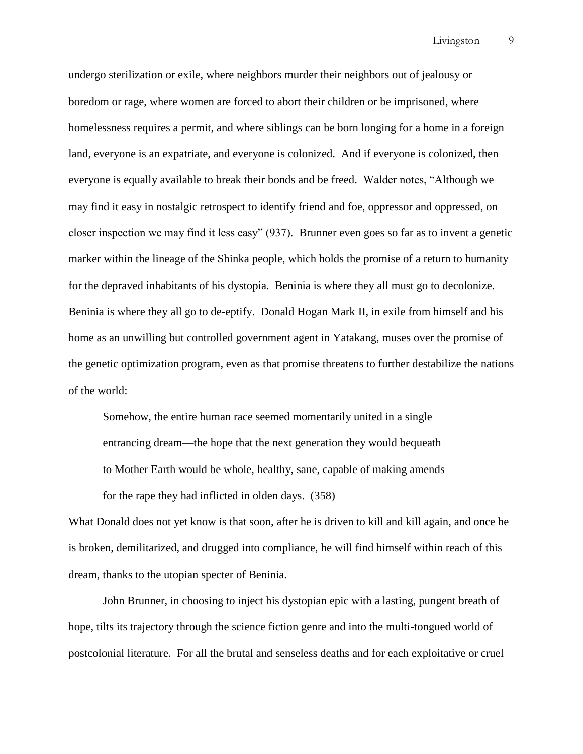undergo sterilization or exile, where neighbors murder their neighbors out of jealousy or boredom or rage, where women are forced to abort their children or be imprisoned, where homelessness requires a permit, and where siblings can be born longing for a home in a foreign land, everyone is an expatriate, and everyone is colonized. And if everyone is colonized, then everyone is equally available to break their bonds and be freed. Walder notes, "Although we may find it easy in nostalgic retrospect to identify friend and foe, oppressor and oppressed, on closer inspection we may find it less easy" (937). Brunner even goes so far as to invent a genetic marker within the lineage of the Shinka people, which holds the promise of a return to humanity for the depraved inhabitants of his dystopia. Beninia is where they all must go to decolonize. Beninia is where they all go to de-eptify. Donald Hogan Mark II, in exile from himself and his home as an unwilling but controlled government agent in Yatakang, muses over the promise of the genetic optimization program, even as that promise threatens to further destabilize the nations of the world:

Somehow, the entire human race seemed momentarily united in a single entrancing dream—the hope that the next generation they would bequeath to Mother Earth would be whole, healthy, sane, capable of making amends for the rape they had inflicted in olden days. (358)

What Donald does not yet know is that soon, after he is driven to kill and kill again, and once he is broken, demilitarized, and drugged into compliance, he will find himself within reach of this dream, thanks to the utopian specter of Beninia.

John Brunner, in choosing to inject his dystopian epic with a lasting, pungent breath of hope, tilts its trajectory through the science fiction genre and into the multi-tongued world of postcolonial literature. For all the brutal and senseless deaths and for each exploitative or cruel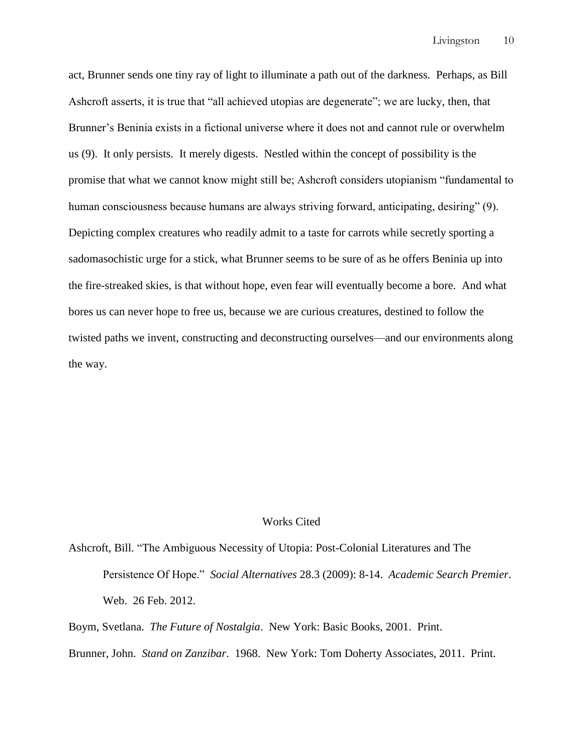act, Brunner sends one tiny ray of light to illuminate a path out of the darkness. Perhaps, as Bill Ashcroft asserts, it is true that "all achieved utopias are degenerate"; we are lucky, then, that Brunner's Beninia exists in a fictional universe where it does not and cannot rule or overwhelm us (9). It only persists. It merely digests. Nestled within the concept of possibility is the promise that what we cannot know might still be; Ashcroft considers utopianism "fundamental to human consciousness because humans are always striving forward, anticipating, desiring" (9). Depicting complex creatures who readily admit to a taste for carrots while secretly sporting a sadomasochistic urge for a stick, what Brunner seems to be sure of as he offers Beninia up into the fire-streaked skies, is that without hope, even fear will eventually become a bore. And what bores us can never hope to free us, because we are curious creatures, destined to follow the twisted paths we invent, constructing and deconstructing ourselves—and our environments along the way.

## Works Cited

Ashcroft, Bill. "The Ambiguous Necessity of Utopia: Post-Colonial Literatures and The Persistence Of Hope.‖ *Social Alternatives* 28.3 (2009): 8-14. *Academic Search Premier*. Web. 26 Feb. 2012.

Boym, Svetlana. *The Future of Nostalgia*. New York: Basic Books, 2001. Print.

Brunner, John. *Stand on Zanzibar*. 1968. New York: Tom Doherty Associates, 2011. Print.